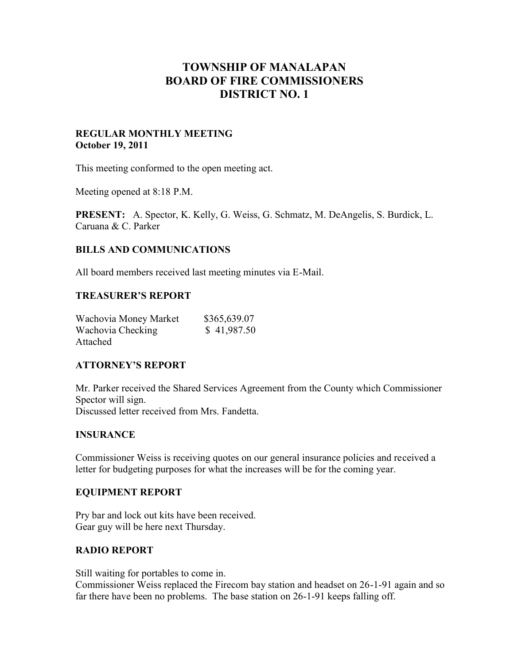# **TOWNSHIP OF MANALAPAN BOARD OF FIRE COMMISSIONERS DISTRICT NO. 1**

#### **REGULAR MONTHLY MEETING October 19, 2011**

This meeting conformed to the open meeting act.

Meeting opened at 8:18 P.M.

**PRESENT:** A. Spector, K. Kelly, G. Weiss, G. Schmatz, M. DeAngelis, S. Burdick, L. Caruana & C. Parker

## **BILLS AND COMMUNICATIONS**

All board members received last meeting minutes via E-Mail.

#### **TREASURER'S REPORT**

| Wachovia Money Market | \$365,639.07 |
|-----------------------|--------------|
| Wachovia Checking     | \$41,987.50  |
| Attached              |              |

#### **ATTORNEY'S REPORT**

Mr. Parker received the Shared Services Agreement from the County which Commissioner Spector will sign. Discussed letter received from Mrs. Fandetta.

#### **INSURANCE**

Commissioner Weiss is receiving quotes on our general insurance policies and received a letter for budgeting purposes for what the increases will be for the coming year.

#### **EQUIPMENT REPORT**

Pry bar and lock out kits have been received. Gear guy will be here next Thursday.

#### **RADIO REPORT**

Still waiting for portables to come in.

Commissioner Weiss replaced the Firecom bay station and headset on 26-1-91 again and so far there have been no problems. The base station on 26-1-91 keeps falling off.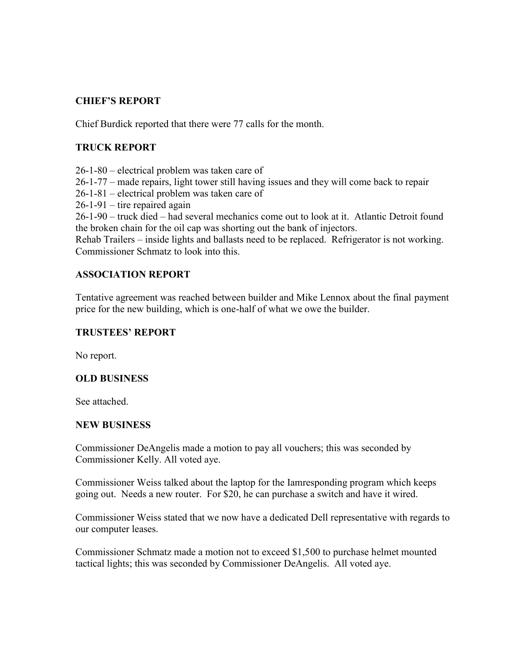## **CHIEF'S REPORT**

Chief Burdick reported that there were 77 calls for the month.

# **TRUCK REPORT**

26-1-80 – electrical problem was taken care of

26-1-77 – made repairs, light tower still having issues and they will come back to repair

26-1-81 – electrical problem was taken care of

 $26-1-91$  – tire repaired again

26-1-90 – truck died – had several mechanics come out to look at it. Atlantic Detroit found the broken chain for the oil cap was shorting out the bank of injectors.

Rehab Trailers – inside lights and ballasts need to be replaced. Refrigerator is not working. Commissioner Schmatz to look into this.

## **ASSOCIATION REPORT**

Tentative agreement was reached between builder and Mike Lennox about the final payment price for the new building, which is one-half of what we owe the builder.

## **TRUSTEES' REPORT**

No report.

## **OLD BUSINESS**

See attached.

#### **NEW BUSINESS**

Commissioner DeAngelis made a motion to pay all vouchers; this was seconded by Commissioner Kelly. All voted aye.

Commissioner Weiss talked about the laptop for the Iamresponding program which keeps going out. Needs a new router. For \$20, he can purchase a switch and have it wired.

Commissioner Weiss stated that we now have a dedicated Dell representative with regards to our computer leases.

Commissioner Schmatz made a motion not to exceed \$1,500 to purchase helmet mounted tactical lights; this was seconded by Commissioner DeAngelis. All voted aye.